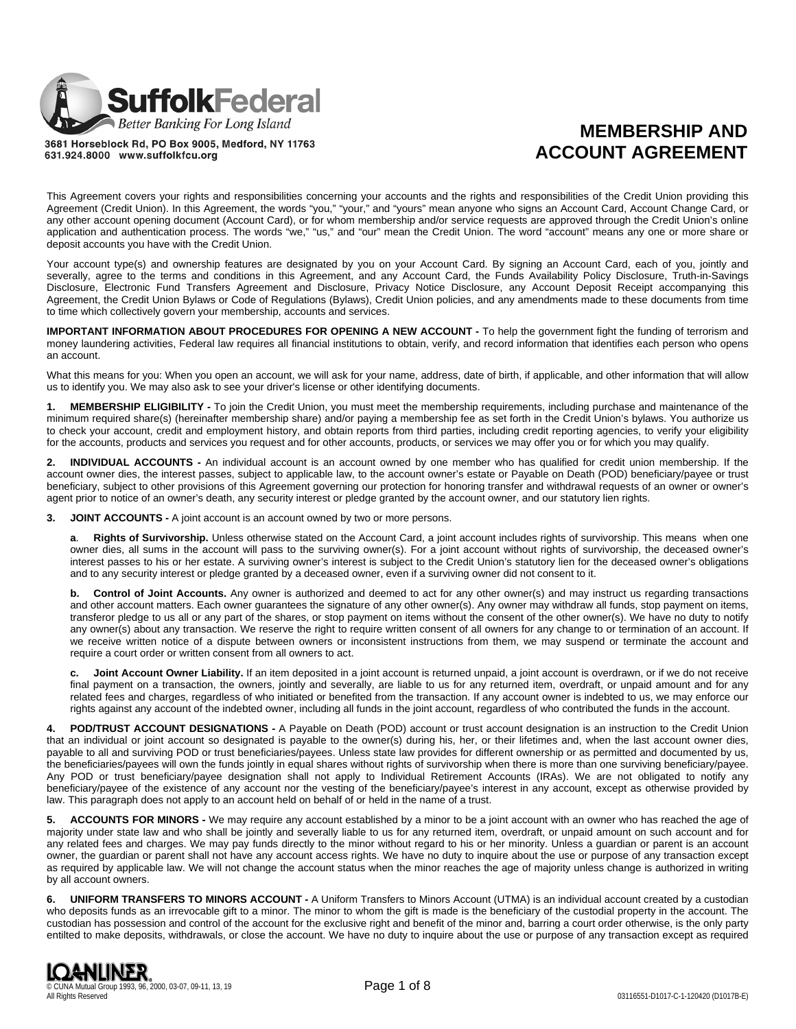

**MEMBERSHIP AND ACCOUNT AGREEMENT**

3681 Horseblock Rd, PO Box 9005, Medford, NY 11763 631.924.8000 www.suffolkfcu.org

This Agreement covers your rights and responsibilities concerning your accounts and the rights and responsibilities of the Credit Union providing this Agreement (Credit Union). In this Agreement, the words "you," "your," and "yours" mean anyone who signs an Account Card, Account Change Card, or any other account opening document (Account Card), or for whom membership and/or service requests are approved through the Credit Union's online application and authentication process. The words "we," "us," and "our" mean the Credit Union. The word "account" means any one or more share or deposit accounts you have with the Credit Union.

Your account type(s) and ownership features are designated by you on your Account Card. By signing an Account Card, each of you, jointly and severally, agree to the terms and conditions in this Agreement, and any Account Card, the Funds Availability Policy Disclosure, Truth-in-Savings Disclosure, Electronic Fund Transfers Agreement and Disclosure, Privacy Notice Disclosure, any Account Deposit Receipt accompanying this Agreement, the Credit Union Bylaws or Code of Regulations (Bylaws), Credit Union policies, and any amendments made to these documents from time to time which collectively govern your membership, accounts and services.

**IMPORTANT INFORMATION ABOUT PROCEDURES FOR OPENING A NEW ACCOUNT -** To help the government fight the funding of terrorism and money laundering activities, Federal law requires all financial institutions to obtain, verify, and record information that identifies each person who opens an account.

What this means for you: When you open an account, we will ask for your name, address, date of birth, if applicable, and other information that will allow us to identify you. We may also ask to see your driver's license or other identifying documents.

**1. MEMBERSHIP ELIGIBILITY -** To join the Credit Union, you must meet the membership requirements, including purchase and maintenance of the minimum required share(s) (hereinafter membership share) and/or paying a membership fee as set forth in the Credit Union's bylaws. You authorize us to check your account, credit and employment history, and obtain reports from third parties, including credit reporting agencies, to verify your eligibility for the accounts, products and services you request and for other accounts, products, or services we may offer you or for which you may qualify.

**2. INDIVIDUAL ACCOUNTS -** An individual account is an account owned by one member who has qualified for credit union membership. If the account owner dies, the interest passes, subject to applicable law, to the account owner's estate or Payable on Death (POD) beneficiary/payee or trust beneficiary, subject to other provisions of this Agreement governing our protection for honoring transfer and withdrawal requests of an owner or owner's agent prior to notice of an owner's death, any security interest or pledge granted by the account owner, and our statutory lien rights.

**3. JOINT ACCOUNTS -** A joint account is an account owned by two or more persons.

**a**. **Rights of Survivorship.** Unless otherwise stated on the Account Card, a joint account includes rights of survivorship. This means when one owner dies, all sums in the account will pass to the surviving owner(s). For a joint account without rights of survivorship, the deceased owner's interest passes to his or her estate. A surviving owner's interest is subject to the Credit Union's statutory lien for the deceased owner's obligations and to any security interest or pledge granted by a deceased owner, even if a surviving owner did not consent to it.

**b.** Control of Joint Accounts. Any owner is authorized and deemed to act for any other owner(s) and may instruct us regarding transactions and other account matters. Each owner guarantees the signature of any other owner(s). Any owner may withdraw all funds, stop payment on items, transferor pledge to us all or any part of the shares, or stop payment on items without the consent of the other owner(s). We have no duty to notify any owner(s) about any transaction. We reserve the right to require written consent of all owners for any change to or termination of an account. If we receive written notice of a dispute between owners or inconsistent instructions from them, we may suspend or terminate the account and require a court order or written consent from all owners to act.

**c. Joint Account Owner Liability.** If an item deposited in a joint account is returned unpaid, a joint account is overdrawn, or if we do not receive final payment on a transaction, the owners, jointly and severally, are liable to us for any returned item, overdraft, or unpaid amount and for any related fees and charges, regardless of who initiated or benefited from the transaction. If any account owner is indebted to us, we may enforce our rights against any account of the indebted owner, including all funds in the joint account, regardless of who contributed the funds in the account.

**4. POD/TRUST ACCOUNT DESIGNATIONS -** A Payable on Death (POD) account or trust account designation is an instruction to the Credit Union that an individual or joint account so designated is payable to the owner(s) during his, her, or their lifetimes and, when the last account owner dies, payable to all and surviving POD or trust beneficiaries/payees. Unless state law provides for different ownership or as permitted and documented by us, the beneficiaries/payees will own the funds jointly in equal shares without rights of survivorship when there is more than one surviving beneficiary/payee. Any POD or trust beneficiary/payee designation shall not apply to Individual Retirement Accounts (IRAs). We are not obligated to notify any beneficiary/payee of the existence of any account nor the vesting of the beneficiary/payee's interest in any account, except as otherwise provided by law. This paragraph does not apply to an account held on behalf of or held in the name of a trust.

**5. ACCOUNTS FOR MINORS -** We may require any account established by a minor to be a joint account with an owner who has reached the age of majority under state law and who shall be jointly and severally liable to us for any returned item, overdraft, or unpaid amount on such account and for any related fees and charges. We may pay funds directly to the minor without regard to his or her minority. Unless a guardian or parent is an account owner, the guardian or parent shall not have any account access rights. We have no duty to inquire about the use or purpose of any transaction except as required by applicable law. We will not change the account status when the minor reaches the age of majority unless change is authorized in writing by all account owners.

**6. UNIFORM TRANSFERS TO MINORS ACCOUNT -** A Uniform Transfers to Minors Account (UTMA) is an individual account created by a custodian who deposits funds as an irrevocable gift to a minor. The minor to whom the gift is made is the beneficiary of the custodial property in the account. The custodian has possession and control of the account for the exclusive right and benefit of the minor and, barring a court order otherwise, is the only party entilted to make deposits, withdrawals, or close the account. We have no duty to inquire about the use or purpose of any transaction except as required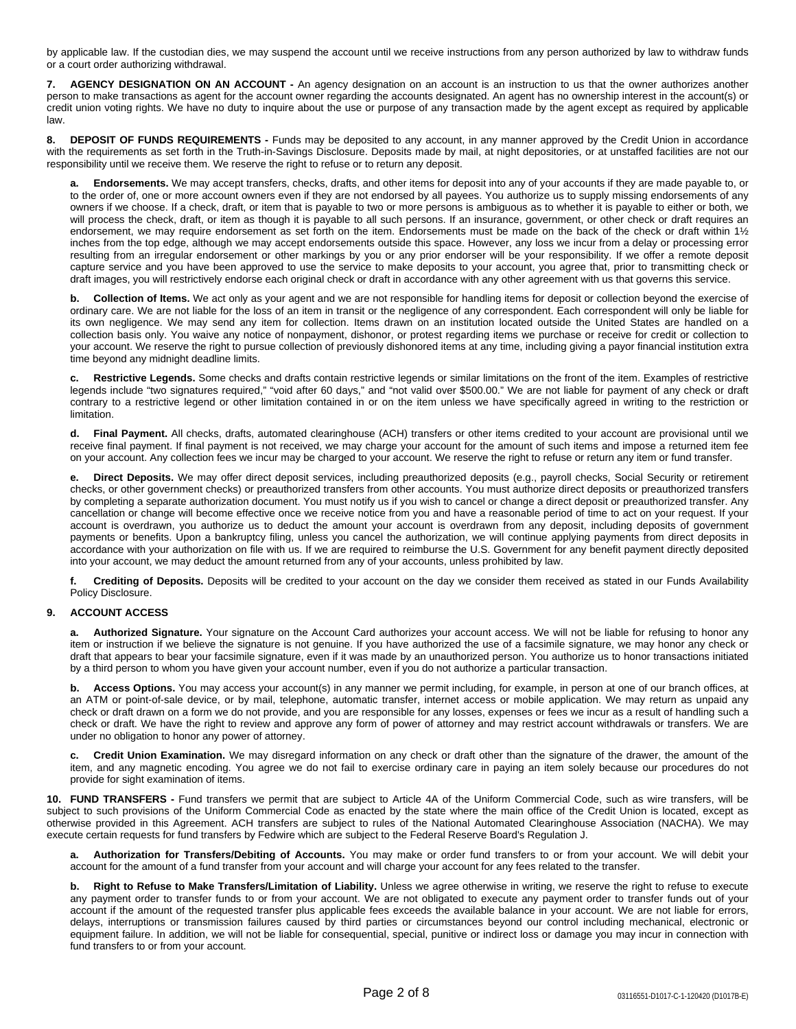by applicable law. If the custodian dies, we may suspend the account until we receive instructions from any person authorized by law to withdraw funds or a court order authorizing withdrawal.

**7. AGENCY DESIGNATION ON AN ACCOUNT -** An agency designation on an account is an instruction to us that the owner authorizes another person to make transactions as agent for the account owner regarding the accounts designated. An agent has no ownership interest in the account(s) or credit union voting rights. We have no duty to inquire about the use or purpose of any transaction made by the agent except as required by applicable law.

**8. DEPOSIT OF FUNDS REQUIREMENTS -** Funds may be deposited to any account, in any manner approved by the Credit Union in accordance with the requirements as set forth in the Truth-in-Savings Disclosure. Deposits made by mail, at night depositories, or at unstaffed facilities are not our responsibility until we receive them. We reserve the right to refuse or to return any deposit.

**a. Endorsements.** We may accept transfers, checks, drafts, and other items for deposit into any of your accounts if they are made payable to, or to the order of, one or more account owners even if they are not endorsed by all payees. You authorize us to supply missing endorsements of any owners if we choose. If a check, draft, or item that is payable to two or more persons is ambiguous as to whether it is payable to either or both, we will process the check, draft, or item as though it is payable to all such persons. If an insurance, government, or other check or draft requires an endorsement, we may require endorsement as set forth on the item. Endorsements must be made on the back of the check or draft within 1½ inches from the top edge, although we may accept endorsements outside this space. However, any loss we incur from a delay or processing error resulting from an irregular endorsement or other markings by you or any prior endorser will be your responsibility. If we offer a remote deposit capture service and you have been approved to use the service to make deposits to your account, you agree that, prior to transmitting check or draft images, you will restrictively endorse each original check or draft in accordance with any other agreement with us that governs this service.

**b. Collection of Items.** We act only as your agent and we are not responsible for handling items for deposit or collection beyond the exercise of ordinary care. We are not liable for the loss of an item in transit or the negligence of any correspondent. Each correspondent will only be liable for its own negligence. We may send any item for collection. Items drawn on an institution located outside the United States are handled on a collection basis only. You waive any notice of nonpayment, dishonor, or protest regarding items we purchase or receive for credit or collection to your account. We reserve the right to pursue collection of previously dishonored items at any time, including giving a payor financial institution extra time beyond any midnight deadline limits.

**c. Restrictive Legends.** Some checks and drafts contain restrictive legends or similar limitations on the front of the item. Examples of restrictive legends include "two signatures required," "void after 60 days," and "not valid over \$500.00." We are not liable for payment of any check or draft contrary to a restrictive legend or other limitation contained in or on the item unless we have specifically agreed in writing to the restriction or limitation.

**d. Final Payment.** All checks, drafts, automated clearinghouse (ACH) transfers or other items credited to your account are provisional until we receive final payment. If final payment is not received, we may charge your account for the amount of such items and impose a returned item fee on your account. Any collection fees we incur may be charged to your account. We reserve the right to refuse or return any item or fund transfer.

**e. Direct Deposits.** We may offer direct deposit services, including preauthorized deposits (e.g., payroll checks, Social Security or retirement checks, or other government checks) or preauthorized transfers from other accounts. You must authorize direct deposits or preauthorized transfers by completing a separate authorization document. You must notify us if you wish to cancel or change a direct deposit or preauthorized transfer. Any cancellation or change will become effective once we receive notice from you and have a reasonable period of time to act on your request. If your account is overdrawn, you authorize us to deduct the amount your account is overdrawn from any deposit, including deposits of government payments or benefits. Upon a bankruptcy filing, unless you cancel the authorization, we will continue applying payments from direct deposits in accordance with your authorization on file with us. If we are required to reimburse the U.S. Government for any benefit payment directly deposited into your account, we may deduct the amount returned from any of your accounts, unless prohibited by law.

**f. Crediting of Deposits.** Deposits will be credited to your account on the day we consider them received as stated in our Funds Availability Policy Disclosure.

# **9. ACCOUNT ACCESS**

**a. Authorized Signature.** Your signature on the Account Card authorizes your account access. We will not be liable for refusing to honor any item or instruction if we believe the signature is not genuine. If you have authorized the use of a facsimile signature, we may honor any check or draft that appears to bear your facsimile signature, even if it was made by an unauthorized person. You authorize us to honor transactions initiated by a third person to whom you have given your account number, even if you do not authorize a particular transaction.

**b. Access Options.** You may access your account(s) in any manner we permit including, for example, in person at one of our branch offices, at an ATM or point-of-sale device, or by mail, telephone, automatic transfer, internet access or mobile application. We may return as unpaid any check or draft drawn on a form we do not provide, and you are responsible for any losses, expenses or fees we incur as a result of handling such a check or draft. We have the right to review and approve any form of power of attorney and may restrict account withdrawals or transfers. We are under no obligation to honor any power of attorney.

**c. Credit Union Examination.** We may disregard information on any check or draft other than the signature of the drawer, the amount of the item, and any magnetic encoding. You agree we do not fail to exercise ordinary care in paying an item solely because our procedures do not provide for sight examination of items.

**10. FUND TRANSFERS -** Fund transfers we permit that are subject to Article 4A of the Uniform Commercial Code, such as wire transfers, will be subject to such provisions of the Uniform Commercial Code as enacted by the state where the main office of the Credit Union is located, except as otherwise provided in this Agreement. ACH transfers are subject to rules of the National Automated Clearinghouse Association (NACHA). We may execute certain requests for fund transfers by Fedwire which are subject to the Federal Reserve Board's Regulation J.

**a. Authorization for Transfers/Debiting of Accounts.** You may make or order fund transfers to or from your account. We will debit your account for the amount of a fund transfer from your account and will charge your account for any fees related to the transfer.

**b. Right to Refuse to Make Transfers/Limitation of Liability.** Unless we agree otherwise in writing, we reserve the right to refuse to execute any payment order to transfer funds to or from your account. We are not obligated to execute any payment order to transfer funds out of your account if the amount of the requested transfer plus applicable fees exceeds the available balance in your account. We are not liable for errors, delays, interruptions or transmission failures caused by third parties or circumstances beyond our control including mechanical, electronic or equipment failure. In addition, we will not be liable for consequential, special, punitive or indirect loss or damage you may incur in connection with fund transfers to or from your account.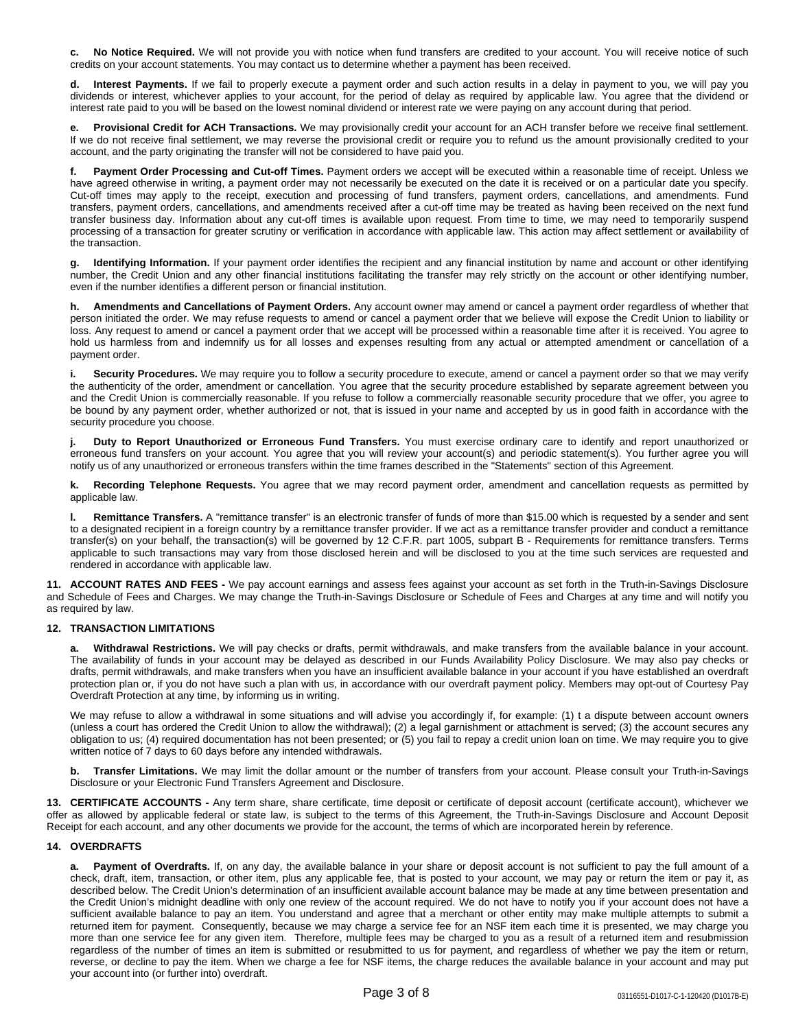**c. No Notice Required.** We will not provide you with notice when fund transfers are credited to your account. You will receive notice of such credits on your account statements. You may contact us to determine whether a payment has been received.

**d. Interest Payments.** If we fail to properly execute a payment order and such action results in a delay in payment to you, we will pay you dividends or interest, whichever applies to your account, for the period of delay as required by applicable law. You agree that the dividend or interest rate paid to you will be based on the lowest nominal dividend or interest rate we were paying on any account during that period.

**e. Provisional Credit for ACH Transactions.** We may provisionally credit your account for an ACH transfer before we receive final settlement. If we do not receive final settlement, we may reverse the provisional credit or require you to refund us the amount provisionally credited to your account, and the party originating the transfer will not be considered to have paid you.

**f. Payment Order Processing and Cut-off Times.** Payment orders we accept will be executed within a reasonable time of receipt. Unless we have agreed otherwise in writing, a payment order may not necessarily be executed on the date it is received or on a particular date you specify. Cut-off times may apply to the receipt, execution and processing of fund transfers, payment orders, cancellations, and amendments. Fund transfers, payment orders, cancellations, and amendments received after a cut-off time may be treated as having been received on the next fund transfer business day. Information about any cut-off times is available upon request. From time to time, we may need to temporarily suspend processing of a transaction for greater scrutiny or verification in accordance with applicable law. This action may affect settlement or availability of the transaction.

**g. Identifying Information.** If your payment order identifies the recipient and any financial institution by name and account or other identifying number, the Credit Union and any other financial institutions facilitating the transfer may rely strictly on the account or other identifying number, even if the number identifies a different person or financial institution.

**h. Amendments and Cancellations of Payment Orders.** Any account owner may amend or cancel a payment order regardless of whether that person initiated the order. We may refuse requests to amend or cancel a payment order that we believe will expose the Credit Union to liability or loss. Any request to amend or cancel a payment order that we accept will be processed within a reasonable time after it is received. You agree to hold us harmless from and indemnify us for all losses and expenses resulting from any actual or attempted amendment or cancellation of a payment order.

**i. Security Procedures.** We may require you to follow a security procedure to execute, amend or cancel a payment order so that we may verify the authenticity of the order, amendment or cancellation. You agree that the security procedure established by separate agreement between you and the Credit Union is commercially reasonable. If you refuse to follow a commercially reasonable security procedure that we offer, you agree to be bound by any payment order, whether authorized or not, that is issued in your name and accepted by us in good faith in accordance with the security procedure you choose.

**j. Duty to Report Unauthorized or Erroneous Fund Transfers.** You must exercise ordinary care to identify and report unauthorized or erroneous fund transfers on your account. You agree that you will review your account(s) and periodic statement(s). You further agree you will notify us of any unauthorized or erroneous transfers within the time frames described in the "Statements" section of this Agreement.

**k. Recording Telephone Requests.** You agree that we may record payment order, amendment and cancellation requests as permitted by applicable law.

**l. Remittance Transfers.** A "remittance transfer" is an electronic transfer of funds of more than \$15.00 which is requested by a sender and sent to a designated recipient in a foreign country by a remittance transfer provider. If we act as a remittance transfer provider and conduct a remittance transfer(s) on your behalf, the transaction(s) will be governed by 12 C.F.R. part 1005, subpart B - Requirements for remittance transfers. Terms applicable to such transactions may vary from those disclosed herein and will be disclosed to you at the time such services are requested and rendered in accordance with applicable law.

**11. ACCOUNT RATES AND FEES -** We pay account earnings and assess fees against your account as set forth in the Truth-in-Savings Disclosure and Schedule of Fees and Charges. We may change the Truth-in-Savings Disclosure or Schedule of Fees and Charges at any time and will notify you as required by law.

# **12. TRANSACTION LIMITATIONS**

**a. Withdrawal Restrictions.** We will pay checks or drafts, permit withdrawals, and make transfers from the available balance in your account. The availability of funds in your account may be delayed as described in our Funds Availability Policy Disclosure. We may also pay checks or drafts, permit withdrawals, and make transfers when you have an insufficient available balance in your account if you have established an overdraft protection plan or, if you do not have such a plan with us, in accordance with our overdraft payment policy. Members may opt-out of Courtesy Pay Overdraft Protection at any time, by informing us in writing.

We may refuse to allow a withdrawal in some situations and will advise you accordingly if, for example: (1) t a dispute between account owners (unless a court has ordered the Credit Union to allow the withdrawal); (2) a legal garnishment or attachment is served; (3) the account secures any obligation to us; (4) required documentation has not been presented; or (5) you fail to repay a credit union loan on time. We may require you to give written notice of 7 days to 60 days before any intended withdrawals.

**b. Transfer Limitations.** We may limit the dollar amount or the number of transfers from your account. Please consult your Truth-in-Savings Disclosure or your Electronic Fund Transfers Agreement and Disclosure.

**13. CERTIFICATE ACCOUNTS -** Any term share, share certificate, time deposit or certificate of deposit account (certificate account), whichever we offer as allowed by applicable federal or state law, is subject to the terms of this Agreement, the Truth-in-Savings Disclosure and Account Deposit Receipt for each account, and any other documents we provide for the account, the terms of which are incorporated herein by reference.

# **14. OVERDRAFTS**

**a. Payment of Overdrafts.** If, on any day, the available balance in your share or deposit account is not sufficient to pay the full amount of a check, draft, item, transaction, or other item, plus any applicable fee, that is posted to your account, we may pay or return the item or pay it, as described below. The Credit Union's determination of an insufficient available account balance may be made at any time between presentation and the Credit Union's midnight deadline with only one review of the account required. We do not have to notify you if your account does not have a sufficient available balance to pay an item. You understand and agree that a merchant or other entity may make multiple attempts to submit a returned item for payment. Consequently, because we may charge a service fee for an NSF item each time it is presented, we may charge you more than one service fee for any given item. Therefore, multiple fees may be charged to you as a result of a returned item and resubmission regardless of the number of times an item is submitted or resubmitted to us for payment, and regardless of whether we pay the item or return, reverse, or decline to pay the item. When we charge a fee for NSF items, the charge reduces the available balance in your account and may put your account into (or further into) overdraft.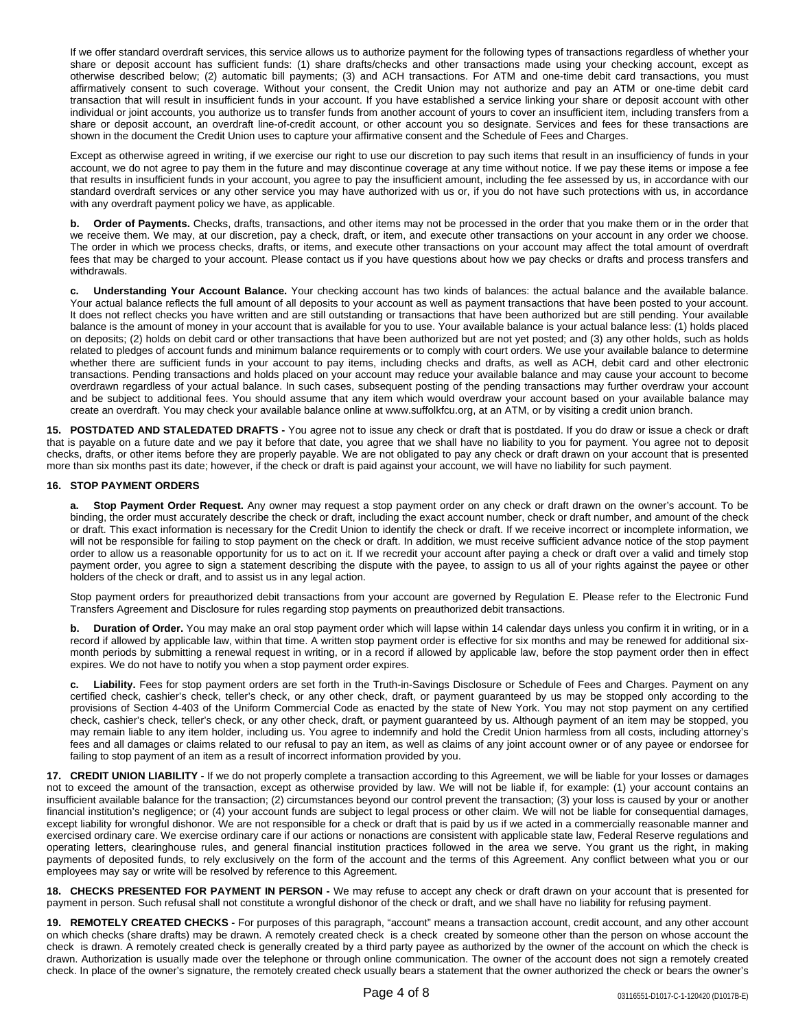If we offer standard overdraft services, this service allows us to authorize payment for the following types of transactions regardless of whether your share or deposit account has sufficient funds: (1) share drafts/checks and other transactions made using your checking account, except as otherwise described below; (2) automatic bill payments; (3) and ACH transactions. For ATM and one-time debit card transactions, you must affirmatively consent to such coverage. Without your consent, the Credit Union may not authorize and pay an ATM or one-time debit card transaction that will result in insufficient funds in your account. If you have established a service linking your share or deposit account with other individual or joint accounts, you authorize us to transfer funds from another account of yours to cover an insufficient item, including transfers from a share or deposit account, an overdraft line-of-credit account, or other account you so designate. Services and fees for these transactions are shown in the document the Credit Union uses to capture your affirmative consent and the Schedule of Fees and Charges.

Except as otherwise agreed in writing, if we exercise our right to use our discretion to pay such items that result in an insufficiency of funds in your account, we do not agree to pay them in the future and may discontinue coverage at any time without notice. If we pay these items or impose a fee that results in insufficient funds in your account, you agree to pay the insufficient amount, including the fee assessed by us, in accordance with our standard overdraft services or any other service you may have authorized with us or, if you do not have such protections with us, in accordance with any overdraft payment policy we have, as applicable.

**b. Order of Payments.** Checks, drafts, transactions, and other items may not be processed in the order that you make them or in the order that we receive them. We may, at our discretion, pay a check, draft, or item, and execute other transactions on your account in any order we choose. The order in which we process checks, drafts, or items, and execute other transactions on your account may affect the total amount of overdraft fees that may be charged to your account. Please contact us if you have questions about how we pay checks or drafts and process transfers and withdrawals.

**c. Understanding Your Account Balance.** Your checking account has two kinds of balances: the actual balance and the available balance. Your actual balance reflects the full amount of all deposits to your account as well as payment transactions that have been posted to your account. It does not reflect checks you have written and are still outstanding or transactions that have been authorized but are still pending. Your available balance is the amount of money in your account that is available for you to use. Your available balance is your actual balance less: (1) holds placed on deposits; (2) holds on debit card or other transactions that have been authorized but are not yet posted; and (3) any other holds, such as holds related to pledges of account funds and minimum balance requirements or to comply with court orders. We use your available balance to determine whether there are sufficient funds in your account to pay items, including checks and drafts, as well as ACH, debit card and other electronic transactions. Pending transactions and holds placed on your account may reduce your available balance and may cause your account to become overdrawn regardless of your actual balance. In such cases, subsequent posting of the pending transactions may further overdraw your account and be subject to additional fees. You should assume that any item which would overdraw your account based on your available balance may create an overdraft. You may check your available balance online at www.suffolkfcu.org, at an ATM, or by visiting a credit union branch.

**15. POSTDATED AND STALEDATED DRAFTS -** You agree not to issue any check or draft that is postdated. If you do draw or issue a check or draft that is payable on a future date and we pay it before that date, you agree that we shall have no liability to you for payment. You agree not to deposit checks, drafts, or other items before they are properly payable. We are not obligated to pay any check or draft drawn on your account that is presented more than six months past its date; however, if the check or draft is paid against your account, we will have no liability for such payment.

# **16. STOP PAYMENT ORDERS**

**a. Stop Payment Order Request.** Any owner may request a stop payment order on any check or draft drawn on the owner's account. To be binding, the order must accurately describe the check or draft, including the exact account number, check or draft number, and amount of the check or draft. This exact information is necessary for the Credit Union to identify the check or draft. If we receive incorrect or incomplete information, we will not be responsible for failing to stop payment on the check or draft. In addition, we must receive sufficient advance notice of the stop payment order to allow us a reasonable opportunity for us to act on it. If we recredit your account after paying a check or draft over a valid and timely stop payment order, you agree to sign a statement describing the dispute with the payee, to assign to us all of your rights against the payee or other holders of the check or draft, and to assist us in any legal action.

Stop payment orders for preauthorized debit transactions from your account are governed by Regulation E. Please refer to the Electronic Fund Transfers Agreement and Disclosure for rules regarding stop payments on preauthorized debit transactions.

**b. Duration of Order.** You may make an oral stop payment order which will lapse within 14 calendar days unless you confirm it in writing, or in a record if allowed by applicable law, within that time. A written stop payment order is effective for six months and may be renewed for additional sixmonth periods by submitting a renewal request in writing, or in a record if allowed by applicable law, before the stop payment order then in effect expires. We do not have to notify you when a stop payment order expires.

**c. Liability.** Fees for stop payment orders are set forth in the Truth-in-Savings Disclosure or Schedule of Fees and Charges. Payment on any certified check, cashier's check, teller's check, or any other check, draft, or payment guaranteed by us may be stopped only according to the provisions of Section 4-403 of the Uniform Commercial Code as enacted by the state of New York. You may not stop payment on any certified check, cashier's check, teller's check, or any other check, draft, or payment guaranteed by us. Although payment of an item may be stopped, you may remain liable to any item holder, including us. You agree to indemnify and hold the Credit Union harmless from all costs, including attorney's fees and all damages or claims related to our refusal to pay an item, as well as claims of any joint account owner or of any payee or endorsee for failing to stop payment of an item as a result of incorrect information provided by you.

**17. CREDIT UNION LIABILITY -** If we do not properly complete a transaction according to this Agreement, we will be liable for your losses or damages not to exceed the amount of the transaction, except as otherwise provided by law. We will not be liable if, for example: (1) your account contains an insufficient available balance for the transaction; (2) circumstances beyond our control prevent the transaction; (3) your loss is caused by your or another financial institution's negligence; or (4) your account funds are subject to legal process or other claim. We will not be liable for consequential damages, except liability for wrongful dishonor. We are not responsible for a check or draft that is paid by us if we acted in a commercially reasonable manner and exercised ordinary care. We exercise ordinary care if our actions or nonactions are consistent with applicable state law, Federal Reserve regulations and operating letters, clearinghouse rules, and general financial institution practices followed in the area we serve. You grant us the right, in making payments of deposited funds, to rely exclusively on the form of the account and the terms of this Agreement. Any conflict between what you or our employees may say or write will be resolved by reference to this Agreement.

**18. CHECKS PRESENTED FOR PAYMENT IN PERSON -** We may refuse to accept any check or draft drawn on your account that is presented for payment in person. Such refusal shall not constitute a wrongful dishonor of the check or draft, and we shall have no liability for refusing payment.

**19. REMOTELY CREATED CHECKS -** For purposes of this paragraph, "account" means a transaction account, credit account, and any other account on which checks (share drafts) may be drawn. A remotely created check is a check created by someone other than the person on whose account the check is drawn. A remotely created check is generally created by a third party payee as authorized by the owner of the account on which the check is drawn. Authorization is usually made over the telephone or through online communication. The owner of the account does not sign a remotely created check. In place of the owner's signature, the remotely created check usually bears a statement that the owner authorized the check or bears the owner's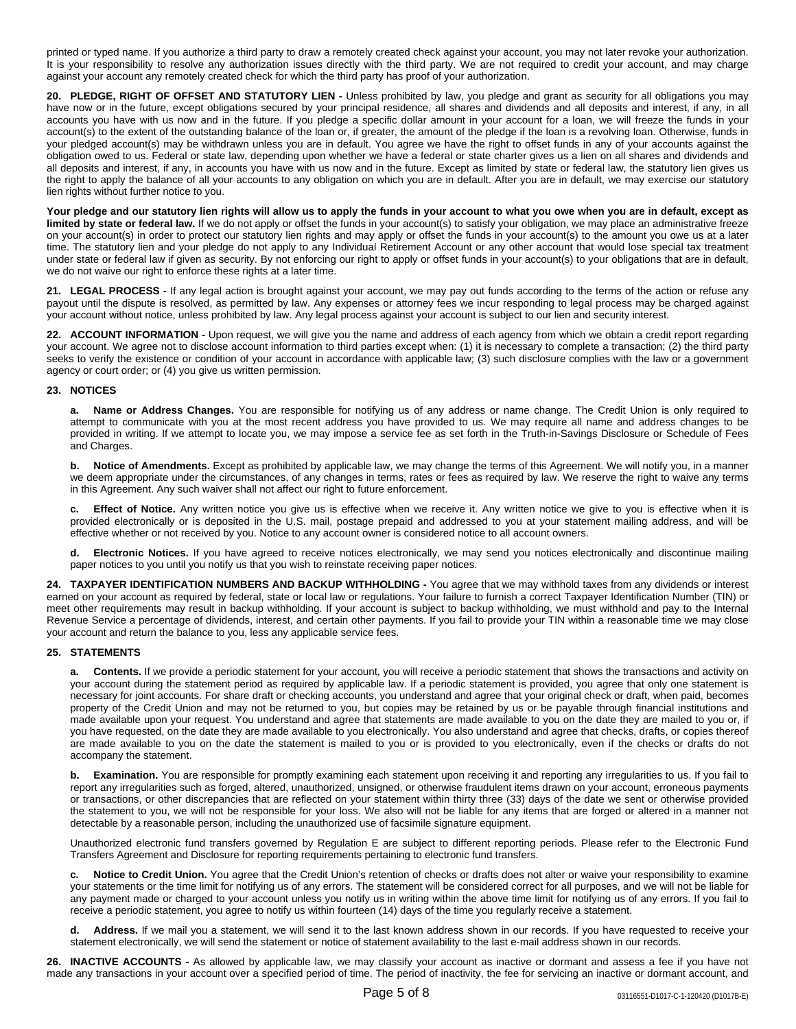printed or typed name. If you authorize a third party to draw a remotely created check against your account, you may not later revoke your authorization. It is your responsibility to resolve any authorization issues directly with the third party. We are not required to credit your account, and may charge against your account any remotely created check for which the third party has proof of your authorization.

**20. PLEDGE, RIGHT OF OFFSET AND STATUTORY LIEN -** Unless prohibited by law, you pledge and grant as security for all obligations you may have now or in the future, except obligations secured by your principal residence, all shares and dividends and all deposits and interest, if any, in all accounts you have with us now and in the future. If you pledge a specific dollar amount in your account for a loan, we will freeze the funds in your account(s) to the extent of the outstanding balance of the loan or, if greater, the amount of the pledge if the loan is a revolving loan. Otherwise, funds in your pledged account(s) may be withdrawn unless you are in default. You agree we have the right to offset funds in any of your accounts against the obligation owed to us. Federal or state law, depending upon whether we have a federal or state charter gives us a lien on all shares and dividends and all deposits and interest, if any, in accounts you have with us now and in the future. Except as limited by state or federal law, the statutory lien gives us the right to apply the balance of all your accounts to any obligation on which you are in default. After you are in default, we may exercise our statutory lien rights without further notice to you.

Your pledge and our statutory lien rights will allow us to apply the funds in your account to what you owe when you are in default, except as **limited by state or federal law.** If we do not apply or offset the funds in your account(s) to satisfy your obligation, we may place an administrative freeze on your account(s) in order to protect our statutory lien rights and may apply or offset the funds in your account(s) to the amount you owe us at a later time. The statutory lien and your pledge do not apply to any Individual Retirement Account or any other account that would lose special tax treatment under state or federal law if given as security. By not enforcing our right to apply or offset funds in your account(s) to your obligations that are in default, we do not waive our right to enforce these rights at a later time.

**21. LEGAL PROCESS -** If any legal action is brought against your account, we may pay out funds according to the terms of the action or refuse any payout until the dispute is resolved, as permitted by law. Any expenses or attorney fees we incur responding to legal process may be charged against your account without notice, unless prohibited by law. Any legal process against your account is subject to our lien and security interest.

**22. ACCOUNT INFORMATION -** Upon request, we will give you the name and address of each agency from which we obtain a credit report regarding your account. We agree not to disclose account information to third parties except when: (1) it is necessary to complete a transaction; (2) the third party seeks to verify the existence or condition of your account in accordance with applicable law; (3) such disclosure complies with the law or a government agency or court order; or (4) you give us written permission.

# **23. NOTICES**

**Name or Address Changes.** You are responsible for notifying us of any address or name change. The Credit Union is only required to attempt to communicate with you at the most recent address you have provided to us. We may require all name and address changes to be provided in writing. If we attempt to locate you, we may impose a service fee as set forth in the Truth-in-Savings Disclosure or Schedule of Fees and Charges.

**b. Notice of Amendments.** Except as prohibited by applicable law, we may change the terms of this Agreement. We will notify you, in a manner we deem appropriate under the circumstances, of any changes in terms, rates or fees as required by law. We reserve the right to waive any terms in this Agreement. Any such waiver shall not affect our right to future enforcement.

**c. Effect of Notice.** Any written notice you give us is effective when we receive it. Any written notice we give to you is effective when it is provided electronically or is deposited in the U.S. mail, postage prepaid and addressed to you at your statement mailing address, and will be effective whether or not received by you. Notice to any account owner is considered notice to all account owners.

**d. Electronic Notices.** If you have agreed to receive notices electronically, we may send you notices electronically and discontinue mailing paper notices to you until you notify us that you wish to reinstate receiving paper notices.

**24. TAXPAYER IDENTIFICATION NUMBERS AND BACKUP WITHHOLDING -** You agree that we may withhold taxes from any dividends or interest earned on your account as required by federal, state or local law or regulations. Your failure to furnish a correct Taxpayer Identification Number (TIN) or meet other requirements may result in backup withholding. If your account is subject to backup withholding, we must withhold and pay to the Internal Revenue Service a percentage of dividends, interest, and certain other payments. If you fail to provide your TIN within a reasonable time we may close your account and return the balance to you, less any applicable service fees.

# **25. STATEMENTS**

**a. Contents.** If we provide a periodic statement for your account, you will receive a periodic statement that shows the transactions and activity on your account during the statement period as required by applicable law. If a periodic statement is provided, you agree that only one statement is necessary for joint accounts. For share draft or checking accounts, you understand and agree that your original check or draft, when paid, becomes property of the Credit Union and may not be returned to you, but copies may be retained by us or be payable through financial institutions and made available upon your request. You understand and agree that statements are made available to you on the date they are mailed to you or, if you have requested, on the date they are made available to you electronically. You also understand and agree that checks, drafts, or copies thereof are made available to you on the date the statement is mailed to you or is provided to you electronically, even if the checks or drafts do not accompany the statement.

**b. Examination.** You are responsible for promptly examining each statement upon receiving it and reporting any irregularities to us. If you fail to report any irregularities such as forged, altered, unauthorized, unsigned, or otherwise fraudulent items drawn on your account, erroneous payments or transactions, or other discrepancies that are reflected on your statement within thirty three (33) days of the date we sent or otherwise provided the statement to you, we will not be responsible for your loss. We also will not be liable for any items that are forged or altered in a manner not detectable by a reasonable person, including the unauthorized use of facsimile signature equipment.

Unauthorized electronic fund transfers governed by Regulation E are subject to different reporting periods. Please refer to the Electronic Fund Transfers Agreement and Disclosure for reporting requirements pertaining to electronic fund transfers.

**c. Notice to Credit Union.** You agree that the Credit Union's retention of checks or drafts does not alter or waive your responsibility to examine your statements or the time limit for notifying us of any errors. The statement will be considered correct for all purposes, and we will not be liable for any payment made or charged to your account unless you notify us in writing within the above time limit for notifying us of any errors. If you fail to receive a periodic statement, you agree to notify us within fourteen (14) days of the time you regularly receive a statement.

**d. Address.** If we mail you a statement, we will send it to the last known address shown in our records. If you have requested to receive your statement electronically, we will send the statement or notice of statement availability to the last e-mail address shown in our records.

**26. INACTIVE ACCOUNTS -** As allowed by applicable law, we may classify your account as inactive or dormant and assess a fee if you have not made any transactions in your account over a specified period of time. The period of inactivity, the fee for servicing an inactive or dormant account, and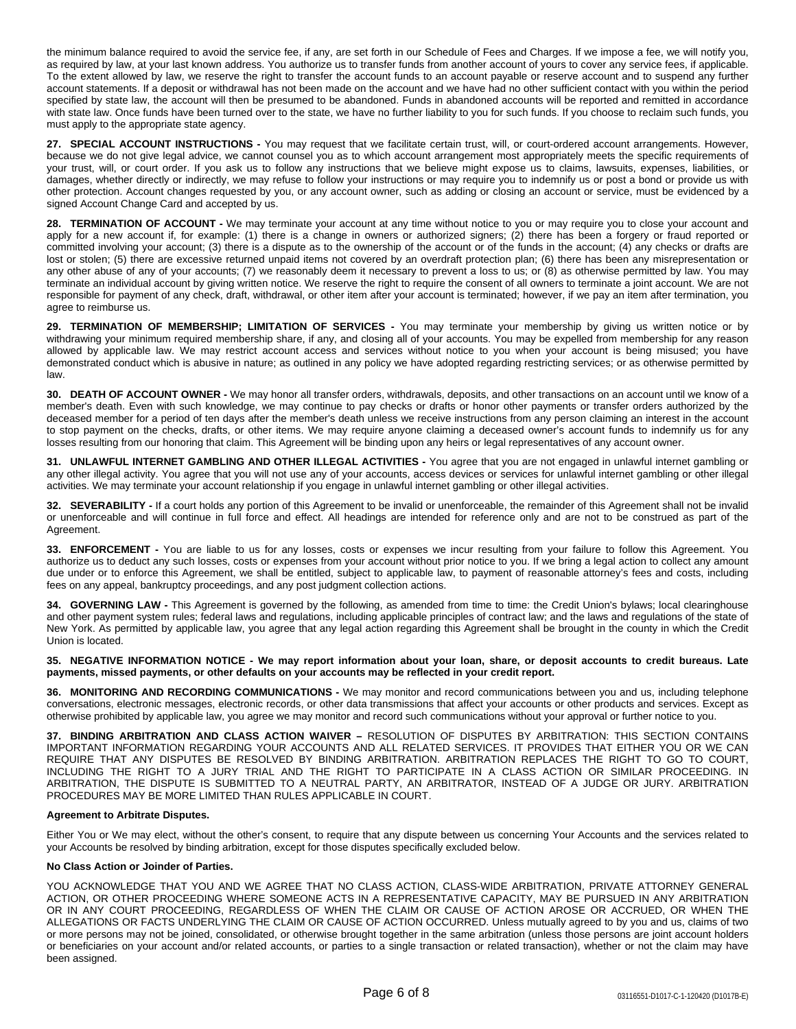the minimum balance required to avoid the service fee, if any, are set forth in our Schedule of Fees and Charges. If we impose a fee, we will notify you, as required by law, at your last known address. You authorize us to transfer funds from another account of yours to cover any service fees, if applicable. To the extent allowed by law, we reserve the right to transfer the account funds to an account payable or reserve account and to suspend any further account statements. If a deposit or withdrawal has not been made on the account and we have had no other sufficient contact with you within the period specified by state law, the account will then be presumed to be abandoned. Funds in abandoned accounts will be reported and remitted in accordance with state law. Once funds have been turned over to the state, we have no further liability to you for such funds. If you choose to reclaim such funds, you must apply to the appropriate state agency.

**27. SPECIAL ACCOUNT INSTRUCTIONS -** You may request that we facilitate certain trust, will, or court-ordered account arrangements. However, because we do not give legal advice, we cannot counsel you as to which account arrangement most appropriately meets the specific requirements of your trust, will, or court order. If you ask us to follow any instructions that we believe might expose us to claims, lawsuits, expenses, liabilities, or damages, whether directly or indirectly, we may refuse to follow your instructions or may require you to indemnify us or post a bond or provide us with other protection. Account changes requested by you, or any account owner, such as adding or closing an account or service, must be evidenced by a signed Account Change Card and accepted by us.

**28. TERMINATION OF ACCOUNT -** We may terminate your account at any time without notice to you or may require you to close your account and apply for a new account if, for example: (1) there is a change in owners or authorized signers; (2) there has been a forgery or fraud reported or committed involving your account; (3) there is a dispute as to the ownership of the account or of the funds in the account; (4) any checks or drafts are lost or stolen; (5) there are excessive returned unpaid items not covered by an overdraft protection plan; (6) there has been any misrepresentation or any other abuse of any of your accounts; (7) we reasonably deem it necessary to prevent a loss to us; or (8) as otherwise permitted by law. You may terminate an individual account by giving written notice. We reserve the right to require the consent of all owners to terminate a joint account. We are not responsible for payment of any check, draft, withdrawal, or other item after your account is terminated; however, if we pay an item after termination, you agree to reimburse us.

**29. TERMINATION OF MEMBERSHIP; LIMITATION OF SERVICES -** You may terminate your membership by giving us written notice or by withdrawing your minimum required membership share, if any, and closing all of your accounts. You may be expelled from membership for any reason allowed by applicable law. We may restrict account access and services without notice to you when your account is being misused; you have demonstrated conduct which is abusive in nature; as outlined in any policy we have adopted regarding restricting services; or as otherwise permitted by law.

**30. DEATH OF ACCOUNT OWNER -** We may honor all transfer orders, withdrawals, deposits, and other transactions on an account until we know of a member's death. Even with such knowledge, we may continue to pay checks or drafts or honor other payments or transfer orders authorized by the deceased member for a period of ten days after the member's death unless we receive instructions from any person claiming an interest in the account to stop payment on the checks, drafts, or other items. We may require anyone claiming a deceased owner's account funds to indemnify us for any losses resulting from our honoring that claim. This Agreement will be binding upon any heirs or legal representatives of any account owner.

**31. UNLAWFUL INTERNET GAMBLING AND OTHER ILLEGAL ACTIVITIES -** You agree that you are not engaged in unlawful internet gambling or any other illegal activity. You agree that you will not use any of your accounts, access devices or services for unlawful internet gambling or other illegal activities. We may terminate your account relationship if you engage in unlawful internet gambling or other illegal activities.

**32. SEVERABILITY -** If a court holds any portion of this Agreement to be invalid or unenforceable, the remainder of this Agreement shall not be invalid or unenforceable and will continue in full force and effect. All headings are intended for reference only and are not to be construed as part of the Agreement.

**33. ENFORCEMENT -** You are liable to us for any losses, costs or expenses we incur resulting from your failure to follow this Agreement. You authorize us to deduct any such losses, costs or expenses from your account without prior notice to you. If we bring a legal action to collect any amount due under or to enforce this Agreement, we shall be entitled, subject to applicable law, to payment of reasonable attorney's fees and costs, including fees on any appeal, bankruptcy proceedings, and any post judgment collection actions.

**34. GOVERNING LAW -** This Agreement is governed by the following, as amended from time to time: the Credit Union's bylaws; local clearinghouse and other payment system rules; federal laws and regulations, including applicable principles of contract law; and the laws and regulations of the state of New York. As permitted by applicable law, you agree that any legal action regarding this Agreement shall be brought in the county in which the Credit Union is located.

## 35. NEGATIVE INFORMATION NOTICE - We may report information about your loan, share, or deposit accounts to credit bureaus. Late **payments, missed payments, or other defaults on your accounts may be reflected in your credit report.**

**36. MONITORING AND RECORDING COMMUNICATIONS -** We may monitor and record communications between you and us, including telephone conversations, electronic messages, electronic records, or other data transmissions that affect your accounts or other products and services. Except as otherwise prohibited by applicable law, you agree we may monitor and record such communications without your approval or further notice to you.

**37. BINDING ARBITRATION AND CLASS ACTION WAIVER –** RESOLUTION OF DISPUTES BY ARBITRATION: THIS SECTION CONTAINS IMPORTANT INFORMATION REGARDING YOUR ACCOUNTS AND ALL RELATED SERVICES. IT PROVIDES THAT EITHER YOU OR WE CAN REQUIRE THAT ANY DISPUTES BE RESOLVED BY BINDING ARBITRATION. ARBITRATION REPLACES THE RIGHT TO GO TO COURT, INCLUDING THE RIGHT TO A JURY TRIAL AND THE RIGHT TO PARTICIPATE IN A CLASS ACTION OR SIMILAR PROCEEDING. IN ARBITRATION, THE DISPUTE IS SUBMITTED TO A NEUTRAL PARTY, AN ARBITRATOR, INSTEAD OF A JUDGE OR JURY. ARBITRATION PROCEDURES MAY BE MORE LIMITED THAN RULES APPLICABLE IN COURT.

# **Agreement to Arbitrate Disputes.**

Either You or We may elect, without the other's consent, to require that any dispute between us concerning Your Accounts and the services related to your Accounts be resolved by binding arbitration, except for those disputes specifically excluded below.

# **No Class Action or Joinder of Parties.**

YOU ACKNOWLEDGE THAT YOU AND WE AGREE THAT NO CLASS ACTION, CLASS-WIDE ARBITRATION, PRIVATE ATTORNEY GENERAL ACTION, OR OTHER PROCEEDING WHERE SOMEONE ACTS IN A REPRESENTATIVE CAPACITY, MAY BE PURSUED IN ANY ARBITRATION OR IN ANY COURT PROCEEDING, REGARDLESS OF WHEN THE CLAIM OR CAUSE OF ACTION AROSE OR ACCRUED, OR WHEN THE ALLEGATIONS OR FACTS UNDERLYING THE CLAIM OR CAUSE OF ACTION OCCURRED. Unless mutually agreed to by you and us, claims of two or more persons may not be joined, consolidated, or otherwise brought together in the same arbitration (unless those persons are joint account holders or beneficiaries on your account and/or related accounts, or parties to a single transaction or related transaction), whether or not the claim may have been assigned.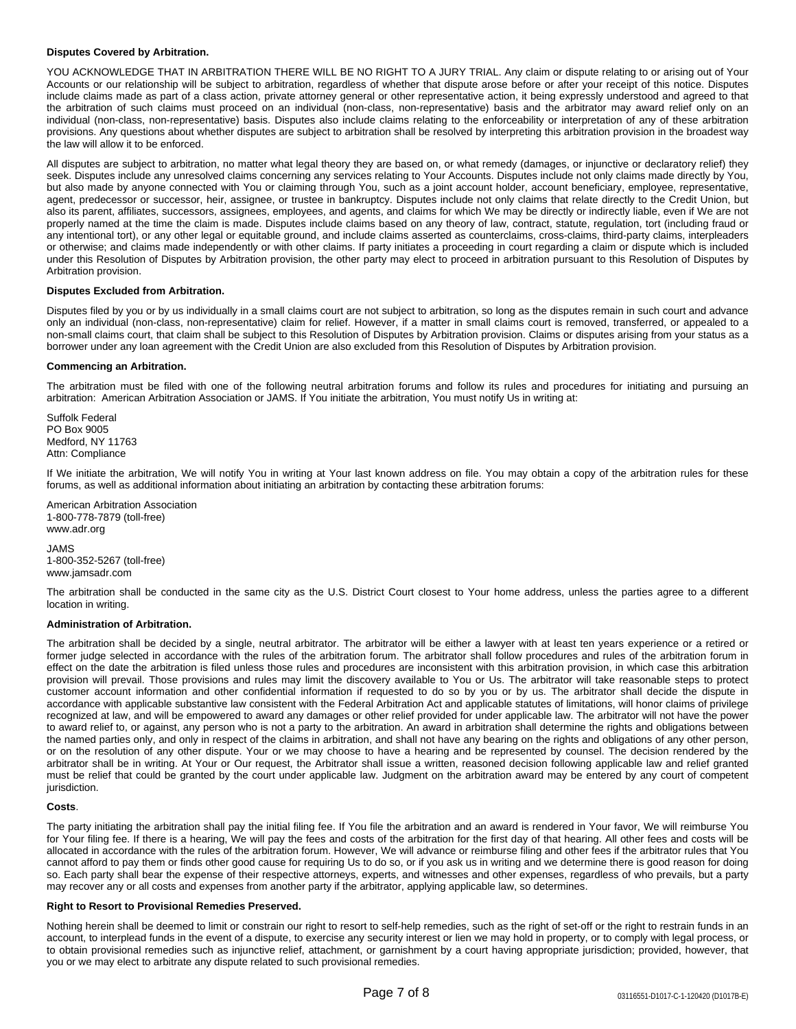### **Disputes Covered by Arbitration.**

YOU ACKNOWLEDGE THAT IN ARBITRATION THERE WILL BE NO RIGHT TO A JURY TRIAL. Any claim or dispute relating to or arising out of Your Accounts or our relationship will be subject to arbitration, regardless of whether that dispute arose before or after your receipt of this notice. Disputes include claims made as part of a class action, private attorney general or other representative action, it being expressly understood and agreed to that the arbitration of such claims must proceed on an individual (non-class, non-representative) basis and the arbitrator may award relief only on an individual (non-class, non-representative) basis. Disputes also include claims relating to the enforceability or interpretation of any of these arbitration provisions. Any questions about whether disputes are subject to arbitration shall be resolved by interpreting this arbitration provision in the broadest way the law will allow it to be enforced.

All disputes are subject to arbitration, no matter what legal theory they are based on, or what remedy (damages, or injunctive or declaratory relief) they seek. Disputes include any unresolved claims concerning any services relating to Your Accounts. Disputes include not only claims made directly by You, but also made by anyone connected with You or claiming through You, such as a joint account holder, account beneficiary, employee, representative, agent, predecessor or successor, heir, assignee, or trustee in bankruptcy. Disputes include not only claims that relate directly to the Credit Union, but also its parent, affiliates, successors, assignees, employees, and agents, and claims for which We may be directly or indirectly liable, even if We are not properly named at the time the claim is made. Disputes include claims based on any theory of law, contract, statute, regulation, tort (including fraud or any intentional tort), or any other legal or equitable ground, and include claims asserted as counterclaims, cross-claims, third-party claims, interpleaders or otherwise; and claims made independently or with other claims. If party initiates a proceeding in court regarding a claim or dispute which is included under this Resolution of Disputes by Arbitration provision, the other party may elect to proceed in arbitration pursuant to this Resolution of Disputes by Arbitration provision.

### **Disputes Excluded from Arbitration.**

Disputes filed by you or by us individually in a small claims court are not subject to arbitration, so long as the disputes remain in such court and advance only an individual (non-class, non-representative) claim for relief. However, if a matter in small claims court is removed, transferred, or appealed to a non-small claims court, that claim shall be subject to this Resolution of Disputes by Arbitration provision. Claims or disputes arising from your status as a borrower under any loan agreement with the Credit Union are also excluded from this Resolution of Disputes by Arbitration provision.

### **Commencing an Arbitration.**

The arbitration must be filed with one of the following neutral arbitration forums and follow its rules and procedures for initiating and pursuing an arbitration: American Arbitration Association or JAMS. If You initiate the arbitration, You must notify Us in writing at:

Suffolk Federal PO Box 9005 Medford, NY 11763 Attn: Compliance

If We initiate the arbitration, We will notify You in writing at Your last known address on file. You may obtain a copy of the arbitration rules for these forums, as well as additional information about initiating an arbitration by contacting these arbitration forums:

American Arbitration Association 1-800-778-7879 (toll-free) www.adr.org

JAMS 1-800-352-5267 (toll-free) www.jamsadr.com

The arbitration shall be conducted in the same city as the U.S. District Court closest to Your home address, unless the parties agree to a different location in writing.

#### **Administration of Arbitration.**

The arbitration shall be decided by a single, neutral arbitrator. The arbitrator will be either a lawyer with at least ten years experience or a retired or former judge selected in accordance with the rules of the arbitration forum. The arbitrator shall follow procedures and rules of the arbitration forum in effect on the date the arbitration is filed unless those rules and procedures are inconsistent with this arbitration provision, in which case this arbitration provision will prevail. Those provisions and rules may limit the discovery available to You or Us. The arbitrator will take reasonable steps to protect customer account information and other confidential information if requested to do so by you or by us. The arbitrator shall decide the dispute in accordance with applicable substantive law consistent with the Federal Arbitration Act and applicable statutes of limitations, will honor claims of privilege recognized at law, and will be empowered to award any damages or other relief provided for under applicable law. The arbitrator will not have the power to award relief to, or against, any person who is not a party to the arbitration. An award in arbitration shall determine the rights and obligations between the named parties only, and only in respect of the claims in arbitration, and shall not have any bearing on the rights and obligations of any other person, or on the resolution of any other dispute. Your or we may choose to have a hearing and be represented by counsel. The decision rendered by the arbitrator shall be in writing. At Your or Our request, the Arbitrator shall issue a written, reasoned decision following applicable law and relief granted must be relief that could be granted by the court under applicable law. Judgment on the arbitration award may be entered by any court of competent jurisdiction.

# **Costs**.

The party initiating the arbitration shall pay the initial filing fee. If You file the arbitration and an award is rendered in Your favor, We will reimburse You for Your filing fee. If there is a hearing, We will pay the fees and costs of the arbitration for the first day of that hearing. All other fees and costs will be allocated in accordance with the rules of the arbitration forum. However, We will advance or reimburse filing and other fees if the arbitrator rules that You cannot afford to pay them or finds other good cause for requiring Us to do so, or if you ask us in writing and we determine there is good reason for doing so. Each party shall bear the expense of their respective attorneys, experts, and witnesses and other expenses, regardless of who prevails, but a party may recover any or all costs and expenses from another party if the arbitrator, applying applicable law, so determines.

#### **Right to Resort to Provisional Remedies Preserved.**

Nothing herein shall be deemed to limit or constrain our right to resort to self-help remedies, such as the right of set-off or the right to restrain funds in an account, to interplead funds in the event of a dispute, to exercise any security interest or lien we may hold in property, or to comply with legal process, or to obtain provisional remedies such as injunctive relief, attachment, or garnishment by a court having appropriate jurisdiction; provided, however, that you or we may elect to arbitrate any dispute related to such provisional remedies.